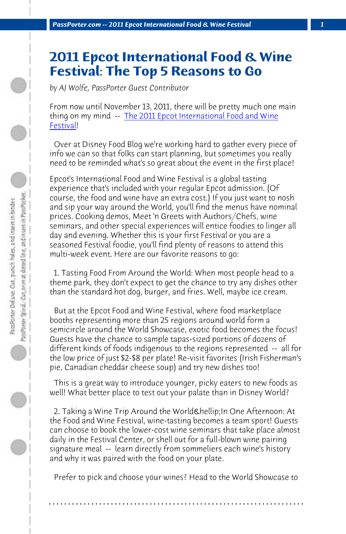*PassPorter.com -- 2011 Epcot International Food & Wine Festival 1*

## **2011 Epcot International Food & Wine Festival: The Top 5 Reasons to Go**

*by AJ Wolfe, PassPorter Guest Contributor*

From now until November 13, 2011, there will be pretty much one main thing on my mind -- The 2011 Epcot International Food and Wine Festival!

 Over at Disney Food Blog we're working hard to gather every piece of info we can so that folks can start planning, but sometimes you really need to be reminded what's so great about the event in the first place!

Epcot's International Food and Wine Festival is a global tasting experience that's included with your regular Epcot admission. (Of course, the food and wine have an extra cost.) If you just want to nosh and sip your way around the World, you'll find the menus have nominal prices. Cooking demos, Meet 'n Greets with Authors/Chefs, wine seminars, and other special experiences will entice foodies to linger all day and evening. Whether this is your first Festival or you are a seasoned Festival foodie, you'll find plenty of reasons to attend this multi-week event. Here are our favorite reasons to go:

 1. Tasting Food From Around the World: When most people head to a theme park, they don't expect to get the chance to try any dishes other than the standard hot dog, burger, and fries. Well, maybe ice cream.

 But at the Epcot Food and Wine Festival, where food marketplace booths representing more than 25 regions around world form a semicircle around the World Showcase, exotic food becomes the focus! Guests have the chance to sample tapas-sized portions of dozens of different kinds of foods indigenous to the regions represented -- all for the low price of just \$2-\$8 per plate! Re-visit favorites (Irish Fisherman's pie, Canadian cheddar cheese soup) and try new dishes too!

 This is a great way to introduce younger, picky eaters to new foods as well! What better place to test out your palate than in Disney World?

2. Taking a Wine Trip Around the World & hellip; In One Afternoon: At the Food and Wine Festival, wine-tasting becomes a team sport! Guests can choose to book the lower-cost wine seminars that take place almost daily in the Festival Center, or shell out for a full-blown wine pairing signature meal -- learn directly from sommeliers each wine's history and why it was paired with the food on your plate.

 Prefer to pick and choose your wines? Head to the World Showcase to

**. . . . . . . . . . . . . . . . . . . . . . . . . . . . . . . . . . . . . . . . . . . . . . . . . . . . . . . . . . . . . . . . . .**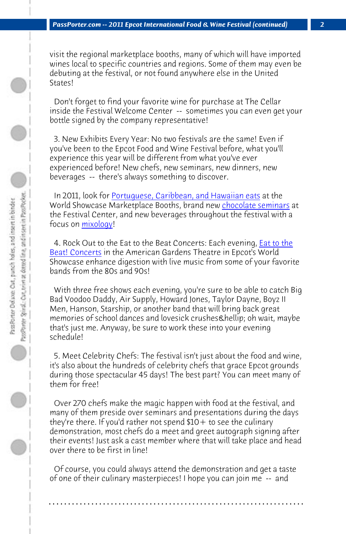*PassPorter.com -- 2011 Epcot International Food & Wine Festival (continued) 2*

visit the regional marketplace booths, many of w[hich will have import](http://www.disneyfoodblog.com/2011/06/21/2011-epcot-food-and-wine-festival-to-debut-chocolate-seminars/)ed wines lo[cal to spec](http://www.disneyfoodblog.com/2011-epcot-food-and-wine-festival-mixology-seminars/)ific countries and regions. Some of them may even be debuting at the festival, or not found anywhere else in the United States!

 [Don't forget to](http://www.disneyfoodblog.com/2011-eat-to-the-beat-concert-schedule/) find your favorite wine for purchase at The Cellar inside the Festival Welcome Center -- sometimes you can even get your bottle signed by the company representative!

 3. New Exhibits Every Year: No two festivals are the same! Even if you've been to the Epcot Food and Wine Festival before, what you'll experience this year will be different from what you've ever experienced before! New chefs, new seminars, new dinners, new beverages -- there's always something to discover.

 In 2011, look for Portuguese, Caribbean, and Hawaiian eats at the World Showcase Marketplace Booths, brand new chocolate seminars at the Festival Center, and new beverages throughout the festival with a focus on <u>mixology</u>!

4. Rock Out to the Eat to the Beat Concerts: Each evening, *Eat to the* Beat! Concerts in the American Gardens Theatre in Epcot's World Showcase enhance digestion with live music from some of your favorite bands from the 80s and 90s!

 With three free shows each evening, you're sure to be able to catch Big Bad Voodoo Daddy, Air Supply, Howard Jones, Taylor Dayne, Boyz II Men, Hanson, Starship, or another band that will bring back great memories of school dances and lovesick crushes & hellip; oh wait, maybe that's just me. Anyway, be sure to work these into your evening schedule!

 5. Meet Celebrity Chefs: The festival isn't just about the food and wine, it's also about the hundreds of celebrity chefs that grace Epcot grounds during those spectacular 45 days! The best part? You can meet many of them for free!

 Over 270 chefs make the magic happen with food at the festival, and many of them preside over seminars and presentations during the days they're there. If you'd rather not spend  $$10+$  to see the culinary demonstration, most chefs do a meet and greet autograph signing after their events! Just ask a cast member where that will take place and head over there to be first in line!

 Of course, you could always attend the demonstration and get a taste of one of their culinary masterpieces! I hope you can join me -- and

**. . . . . . . . . . . . . . . . . . . . . . . . . . . . . . . . . . . . . . . . . . . . . . . . . . . . . . . . . . . . . . . . . .**

 $\bigcirc$